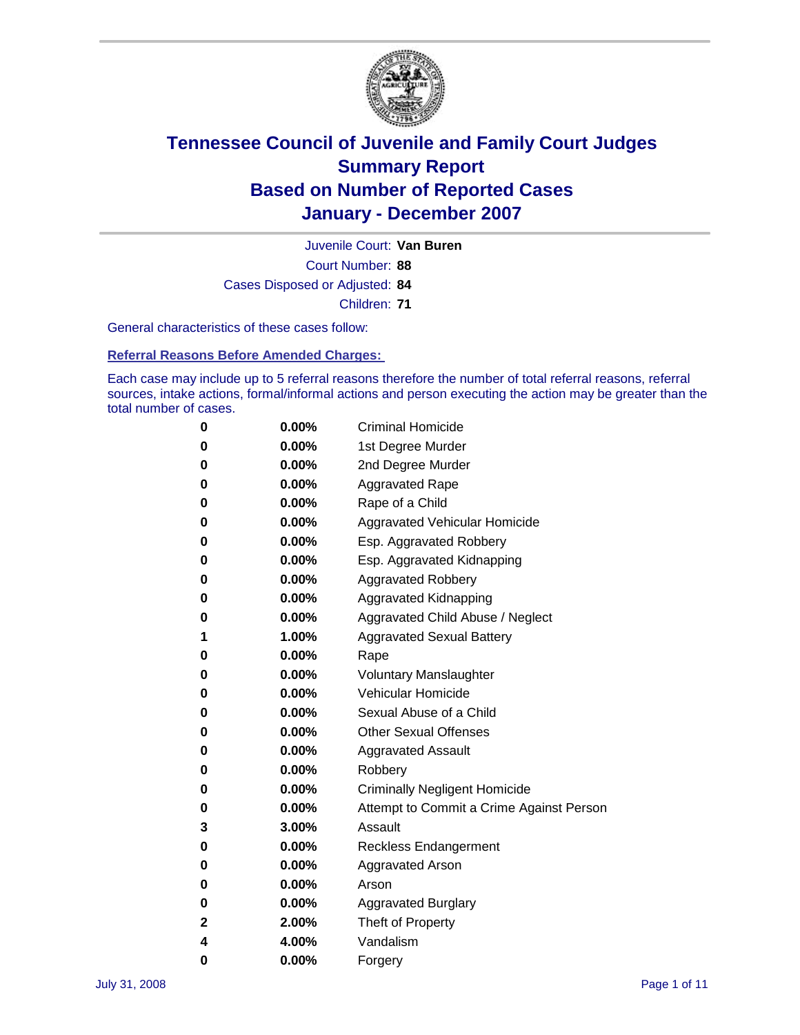

Court Number: **88** Juvenile Court: **Van Buren** Cases Disposed or Adjusted: **84** Children: **71**

General characteristics of these cases follow:

**Referral Reasons Before Amended Charges:** 

Each case may include up to 5 referral reasons therefore the number of total referral reasons, referral sources, intake actions, formal/informal actions and person executing the action may be greater than the total number of cases.

| 0 | $0.00\%$ | <b>Criminal Homicide</b>                 |
|---|----------|------------------------------------------|
| 0 | 0.00%    | 1st Degree Murder                        |
| 0 | $0.00\%$ | 2nd Degree Murder                        |
| 0 | $0.00\%$ | <b>Aggravated Rape</b>                   |
| 0 | 0.00%    | Rape of a Child                          |
| 0 | 0.00%    | Aggravated Vehicular Homicide            |
| 0 | 0.00%    | Esp. Aggravated Robbery                  |
| 0 | $0.00\%$ | Esp. Aggravated Kidnapping               |
| 0 | $0.00\%$ | <b>Aggravated Robbery</b>                |
| 0 | $0.00\%$ | Aggravated Kidnapping                    |
| 0 | $0.00\%$ | Aggravated Child Abuse / Neglect         |
| 1 | 1.00%    | <b>Aggravated Sexual Battery</b>         |
| 0 | 0.00%    | Rape                                     |
| 0 | $0.00\%$ | <b>Voluntary Manslaughter</b>            |
| 0 | $0.00\%$ | Vehicular Homicide                       |
| 0 | 0.00%    | Sexual Abuse of a Child                  |
| 0 | $0.00\%$ | <b>Other Sexual Offenses</b>             |
| 0 | $0.00\%$ | <b>Aggravated Assault</b>                |
| 0 | $0.00\%$ | Robbery                                  |
| 0 | $0.00\%$ | <b>Criminally Negligent Homicide</b>     |
| 0 | $0.00\%$ | Attempt to Commit a Crime Against Person |
| 3 | 3.00%    | Assault                                  |
| 0 | 0.00%    | Reckless Endangerment                    |
| 0 | $0.00\%$ | <b>Aggravated Arson</b>                  |
| 0 | $0.00\%$ | Arson                                    |
| 0 | $0.00\%$ | <b>Aggravated Burglary</b>               |
| 2 | 2.00%    | Theft of Property                        |
| 4 | 4.00%    | Vandalism                                |
| 0 | 0.00%    | Forgery                                  |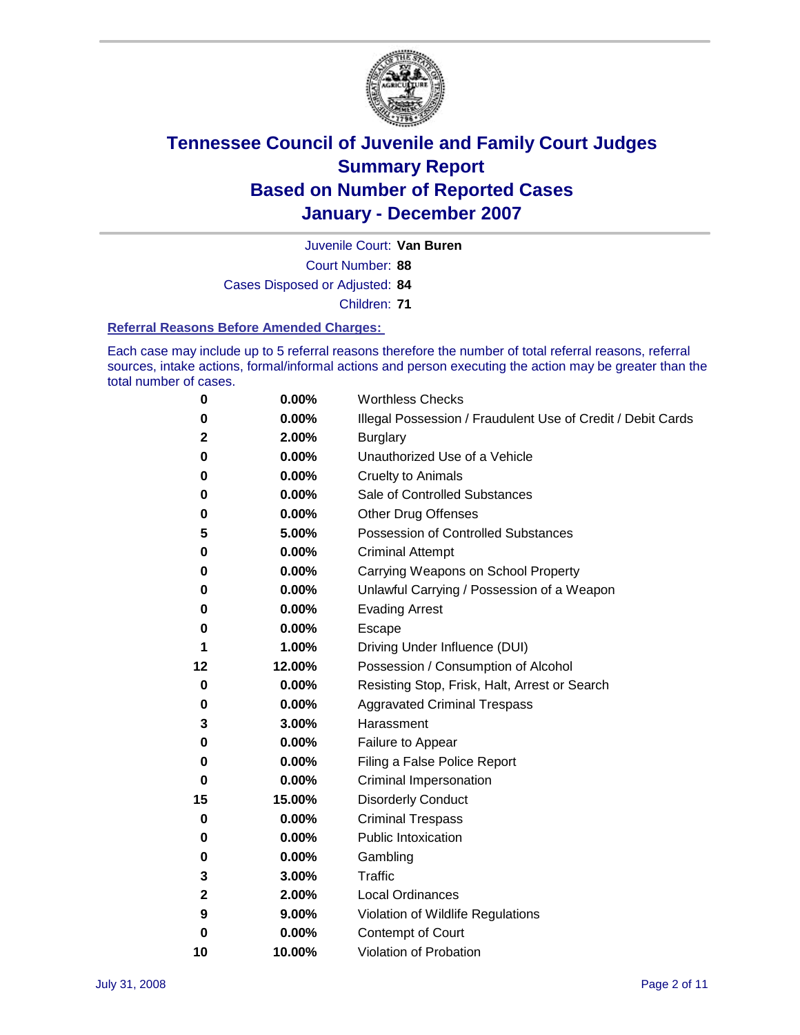

Court Number: **88** Juvenile Court: **Van Buren** Cases Disposed or Adjusted: **84**

Children: **71**

### **Referral Reasons Before Amended Charges:**

Each case may include up to 5 referral reasons therefore the number of total referral reasons, referral sources, intake actions, formal/informal actions and person executing the action may be greater than the total number of cases.

| 0            | 0.00%  | <b>Worthless Checks</b>                                     |
|--------------|--------|-------------------------------------------------------------|
| 0            | 0.00%  | Illegal Possession / Fraudulent Use of Credit / Debit Cards |
| $\mathbf{2}$ | 2.00%  | <b>Burglary</b>                                             |
| 0            | 0.00%  | Unauthorized Use of a Vehicle                               |
| 0            | 0.00%  | <b>Cruelty to Animals</b>                                   |
| 0            | 0.00%  | Sale of Controlled Substances                               |
| 0            | 0.00%  | <b>Other Drug Offenses</b>                                  |
| 5            | 5.00%  | <b>Possession of Controlled Substances</b>                  |
| 0            | 0.00%  | <b>Criminal Attempt</b>                                     |
| 0            | 0.00%  | Carrying Weapons on School Property                         |
| 0            | 0.00%  | Unlawful Carrying / Possession of a Weapon                  |
| 0            | 0.00%  | <b>Evading Arrest</b>                                       |
| 0            | 0.00%  | Escape                                                      |
| 1            | 1.00%  | Driving Under Influence (DUI)                               |
| 12           | 12.00% | Possession / Consumption of Alcohol                         |
| 0            | 0.00%  | Resisting Stop, Frisk, Halt, Arrest or Search               |
| 0            | 0.00%  | <b>Aggravated Criminal Trespass</b>                         |
| 3            | 3.00%  | Harassment                                                  |
| 0            | 0.00%  | Failure to Appear                                           |
| 0            | 0.00%  | Filing a False Police Report                                |
| 0            | 0.00%  | Criminal Impersonation                                      |
| 15           | 15.00% | <b>Disorderly Conduct</b>                                   |
| 0            | 0.00%  | <b>Criminal Trespass</b>                                    |
| 0            | 0.00%  | <b>Public Intoxication</b>                                  |
| 0            | 0.00%  | Gambling                                                    |
| 3            | 3.00%  | Traffic                                                     |
| $\mathbf 2$  | 2.00%  | <b>Local Ordinances</b>                                     |
| 9            | 9.00%  | Violation of Wildlife Regulations                           |
| 0            | 0.00%  | Contempt of Court                                           |
| 10           | 10.00% | Violation of Probation                                      |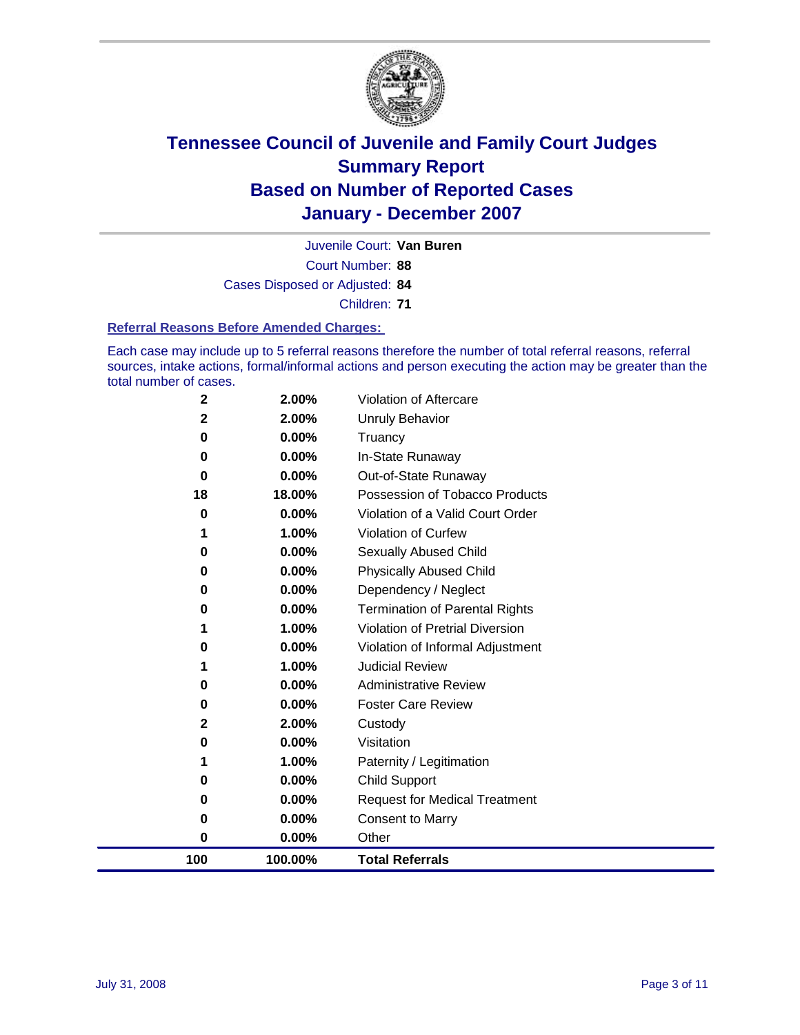

Court Number: **88** Juvenile Court: **Van Buren** Cases Disposed or Adjusted: **84** Children: **71**

#### **Referral Reasons Before Amended Charges:**

Each case may include up to 5 referral reasons therefore the number of total referral reasons, referral sources, intake actions, formal/informal actions and person executing the action may be greater than the total number of cases.

| 100               | 100.00%        | <b>Total Referrals</b>                 |
|-------------------|----------------|----------------------------------------|
| 0                 | 0.00%          | Other                                  |
| 0                 | 0.00%          | <b>Consent to Marry</b>                |
| 0                 | 0.00%          | <b>Request for Medical Treatment</b>   |
| 0                 | 0.00%          | <b>Child Support</b>                   |
| 1                 | 1.00%          | Paternity / Legitimation               |
| 0                 | 0.00%          | Visitation                             |
| $\mathbf{2}$      | 2.00%          | Custody                                |
| 0                 | 0.00%          | <b>Foster Care Review</b>              |
| 0                 | 0.00%          | <b>Administrative Review</b>           |
| 1                 | 1.00%          | <b>Judicial Review</b>                 |
| 0                 | 0.00%          | Violation of Informal Adjustment       |
| 1                 | 1.00%          | <b>Violation of Pretrial Diversion</b> |
| 0                 | 0.00%          | <b>Termination of Parental Rights</b>  |
| 0                 | 0.00%          | Dependency / Neglect                   |
| $\bf{0}$          | 0.00%          | <b>Physically Abused Child</b>         |
| 0                 | 0.00%          | Sexually Abused Child                  |
| 1                 | 1.00%          | Violation of Curfew                    |
| 0                 | 0.00%          | Violation of a Valid Court Order       |
| 18                | 18.00%         | Possession of Tobacco Products         |
| $\bf{0}$          | 0.00%          | Out-of-State Runaway                   |
| $\bf{0}$          | 0.00%          | Truancy<br>In-State Runaway            |
| $\mathbf{2}$<br>0 | 2.00%<br>0.00% | Unruly Behavior                        |
|                   |                |                                        |
| $\mathbf 2$       | 2.00%          | Violation of Aftercare                 |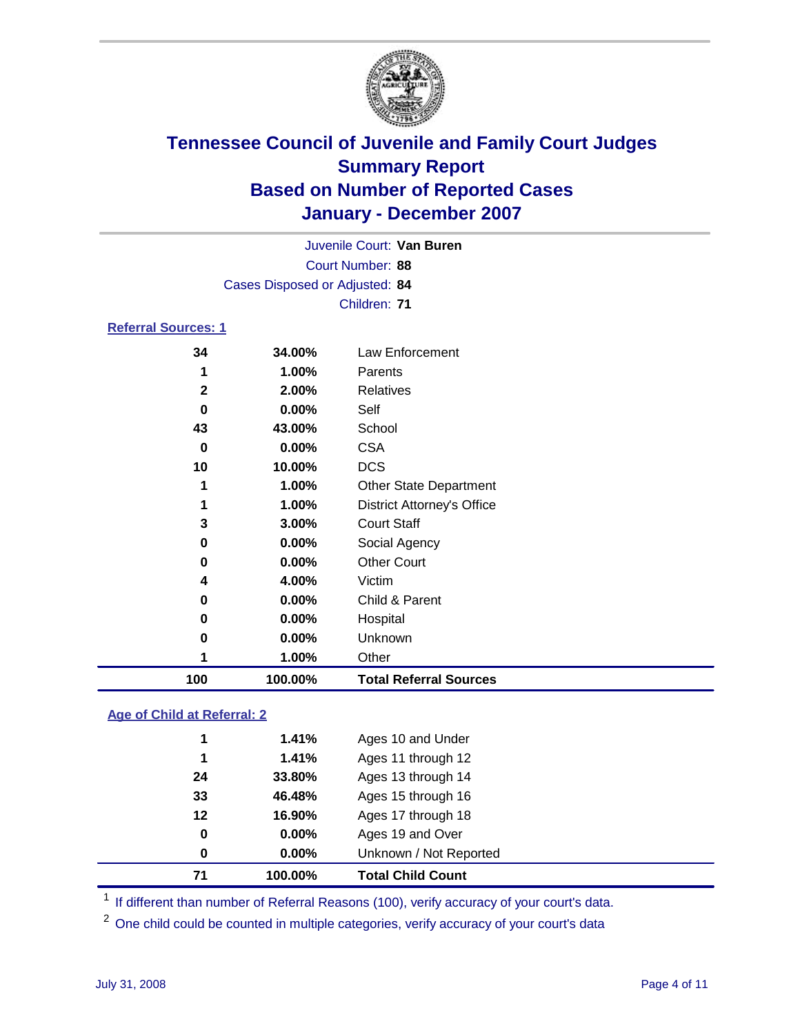

|                            | Cases Disposed or Adjusted: 84 | Juvenile Court: Van Buren<br>Court Number: 88 |
|----------------------------|--------------------------------|-----------------------------------------------|
| <b>Referral Sources: 1</b> |                                | Children: 71                                  |
| 34<br>1                    | 34.00%<br>1.00%                | Law Enforcement<br>Parents                    |

| 1<br>3<br>0<br>0<br>4<br>0<br>0<br>0 | 1.00%<br>1.00%<br>3.00%<br>0.00%<br>0.00%<br>4.00%<br>0.00%<br>0.00%<br>$0.00\%$<br>1.00% | <b>DCS</b><br><b>Other State Department</b><br><b>District Attorney's Office</b><br><b>Court Staff</b><br>Social Agency<br><b>Other Court</b><br>Victim<br>Child & Parent<br>Hospital<br><b>Unknown</b><br>Other |
|--------------------------------------|-------------------------------------------------------------------------------------------|------------------------------------------------------------------------------------------------------------------------------------------------------------------------------------------------------------------|
|                                      |                                                                                           |                                                                                                                                                                                                                  |
|                                      |                                                                                           |                                                                                                                                                                                                                  |
|                                      |                                                                                           |                                                                                                                                                                                                                  |
|                                      |                                                                                           |                                                                                                                                                                                                                  |
|                                      |                                                                                           |                                                                                                                                                                                                                  |
|                                      |                                                                                           |                                                                                                                                                                                                                  |
|                                      |                                                                                           |                                                                                                                                                                                                                  |
|                                      |                                                                                           |                                                                                                                                                                                                                  |
|                                      |                                                                                           |                                                                                                                                                                                                                  |
|                                      |                                                                                           |                                                                                                                                                                                                                  |
| 10                                   | 10.00%                                                                                    |                                                                                                                                                                                                                  |
| 0                                    | 0.00%                                                                                     | <b>CSA</b>                                                                                                                                                                                                       |
| 43                                   | 43.00%                                                                                    | School                                                                                                                                                                                                           |
|                                      |                                                                                           | Self                                                                                                                                                                                                             |
| 0                                    |                                                                                           |                                                                                                                                                                                                                  |
|                                      |                                                                                           | $0.00\%$                                                                                                                                                                                                         |

### **Age of Child at Referral: 2**

| 71 | 100.00% | <b>Total Child Count</b> |  |
|----|---------|--------------------------|--|
| 0  | 0.00%   | Unknown / Not Reported   |  |
| 0  | 0.00%   | Ages 19 and Over         |  |
| 12 | 16.90%  | Ages 17 through 18       |  |
| 33 | 46.48%  | Ages 15 through 16       |  |
| 24 | 33.80%  | Ages 13 through 14       |  |
| 1  | 1.41%   | Ages 11 through 12       |  |
| 1  | 1.41%   | Ages 10 and Under        |  |
|    |         |                          |  |

<sup>1</sup> If different than number of Referral Reasons (100), verify accuracy of your court's data.

One child could be counted in multiple categories, verify accuracy of your court's data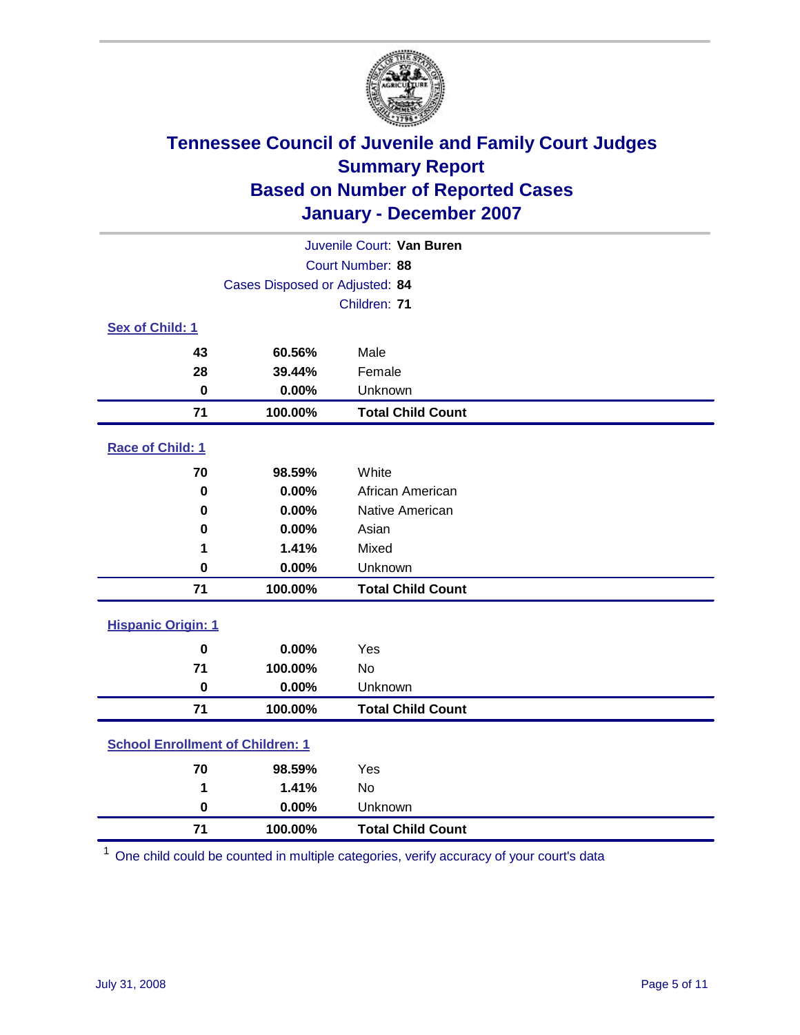

|                                         |                                | Juvenile Court: Van Buren |
|-----------------------------------------|--------------------------------|---------------------------|
|                                         |                                | Court Number: 88          |
|                                         | Cases Disposed or Adjusted: 84 |                           |
|                                         |                                | Children: 71              |
| Sex of Child: 1                         |                                |                           |
| 43                                      | 60.56%                         | Male                      |
| 28                                      | 39.44%                         | Female                    |
| $\bf{0}$                                | 0.00%                          | Unknown                   |
| 71                                      | 100.00%                        | <b>Total Child Count</b>  |
| Race of Child: 1                        |                                |                           |
| 70                                      | 98.59%                         | White                     |
| $\bf{0}$                                | 0.00%                          | African American          |
| 0                                       | 0.00%                          | Native American           |
| 0                                       | 0.00%                          | Asian                     |
| 1                                       | 1.41%                          | Mixed                     |
| $\mathbf 0$                             | 0.00%                          | Unknown                   |
| 71                                      | 100.00%                        | <b>Total Child Count</b>  |
| <b>Hispanic Origin: 1</b>               |                                |                           |
| $\mathbf 0$                             | 0.00%                          | Yes                       |
| 71                                      | 100.00%                        | <b>No</b>                 |
| $\bf{0}$                                | 0.00%                          | Unknown                   |
| 71                                      | 100.00%                        | <b>Total Child Count</b>  |
| <b>School Enrollment of Children: 1</b> |                                |                           |
| 70                                      | 98.59%                         | Yes                       |
| 1                                       | 1.41%                          | No                        |
| $\mathbf 0$                             | 0.00%                          | Unknown                   |
| 71                                      | 100.00%                        | <b>Total Child Count</b>  |

One child could be counted in multiple categories, verify accuracy of your court's data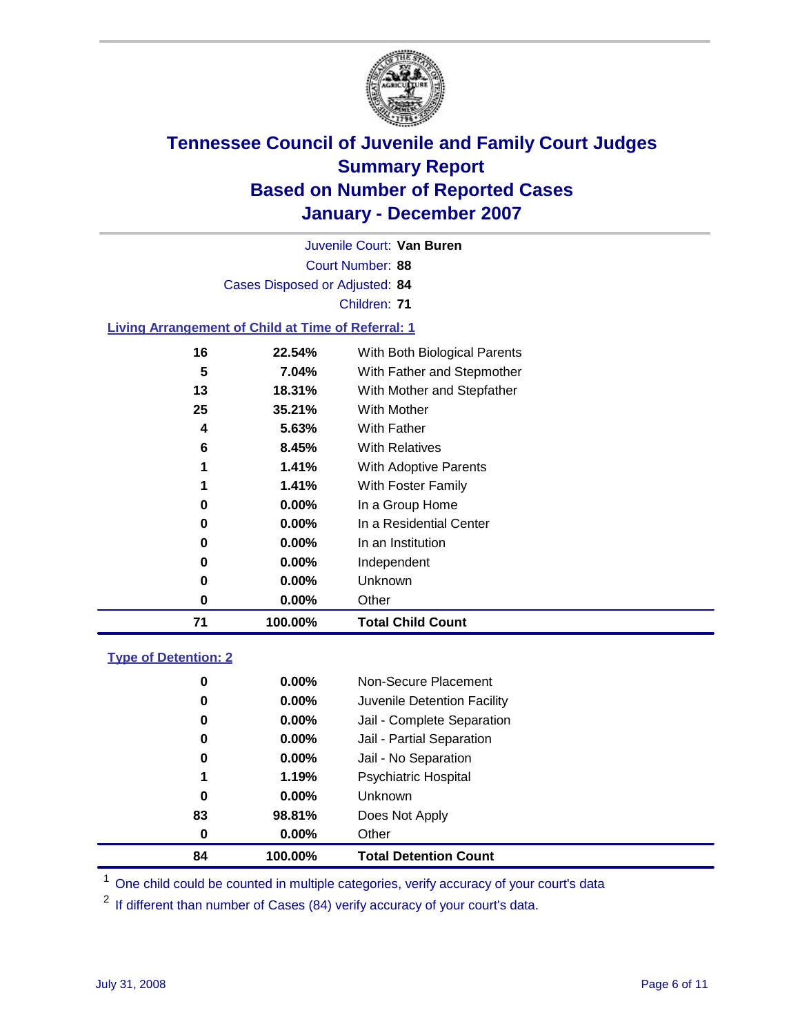

Court Number: **88** Juvenile Court: **Van Buren** Cases Disposed or Adjusted: **84** Children: **71 Living Arrangement of Child at Time of Referral: 1 22.54%** With Both Biological Parents **7.04%** With Father and Stepmother **18.31%** With Mother and Stepfather **35.21%** With Mother **5.63%** With Father **8.45%** With Relatives **1.41%** With Adoptive Parents **1.41%** With Foster Family **0.00%** In a Group Home **0.00%** In a Residential Center

| 71 | 100.00%  | <b>Total Child Count</b> |
|----|----------|--------------------------|
|    | $0.00\%$ | Other                    |
|    | $0.00\%$ | Unknown                  |
|    | $0.00\%$ | Independent              |
|    | $0.00\%$ | In an Institution        |

### **Type of Detention: 2**

| 84 | 100.00%  | <b>Total Detention Count</b> |
|----|----------|------------------------------|
| 0  | $0.00\%$ | Other                        |
| 83 | 98.81%   | Does Not Apply               |
| 0  | $0.00\%$ | <b>Unknown</b>               |
| 1  | 1.19%    | <b>Psychiatric Hospital</b>  |
| 0  | 0.00%    | Jail - No Separation         |
| 0  | $0.00\%$ | Jail - Partial Separation    |
| 0  | 0.00%    | Jail - Complete Separation   |
| 0  | 0.00%    | Juvenile Detention Facility  |
| 0  | $0.00\%$ | Non-Secure Placement         |
|    |          |                              |

<sup>1</sup> One child could be counted in multiple categories, verify accuracy of your court's data

<sup>2</sup> If different than number of Cases (84) verify accuracy of your court's data.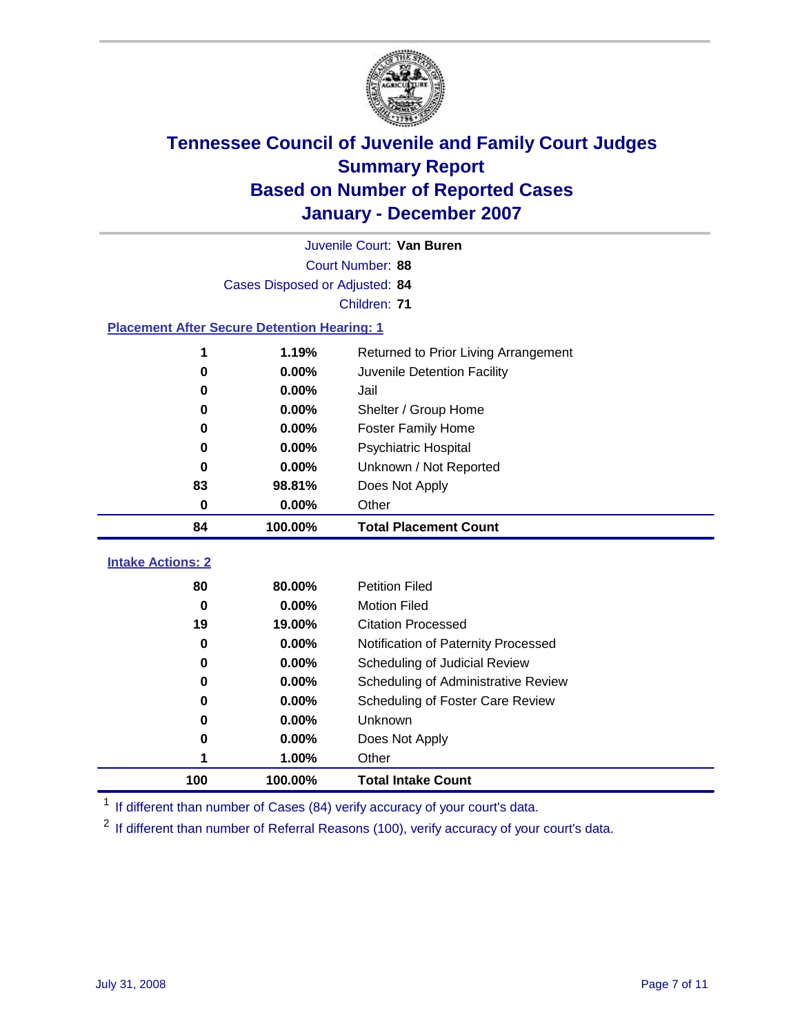

|                                                    |                                | Juvenile Court: Van Buren            |
|----------------------------------------------------|--------------------------------|--------------------------------------|
|                                                    |                                | Court Number: 88                     |
|                                                    | Cases Disposed or Adjusted: 84 |                                      |
|                                                    |                                | Children: 71                         |
| <b>Placement After Secure Detention Hearing: 1</b> |                                |                                      |
| 1                                                  | 1.19%                          | Returned to Prior Living Arrangement |
| $\bf{0}$                                           | 0.00%                          | Juvenile Detention Facility          |
| $\bf{0}$                                           | 0.00%                          | Jail                                 |
| 0                                                  | 0.00%                          | Shelter / Group Home                 |
| 0                                                  | 0.00%                          | <b>Foster Family Home</b>            |
| 0                                                  | 0.00%                          | Psychiatric Hospital                 |
| 0                                                  | 0.00%                          | Unknown / Not Reported               |
| 83                                                 | 98.81%                         | Does Not Apply                       |
| 0                                                  | 0.00%                          | Other                                |
| 84                                                 | 100.00%                        | <b>Total Placement Count</b>         |
| <b>Intake Actions: 2</b>                           |                                |                                      |
| 80                                                 | 80.00%                         | <b>Petition Filed</b>                |
| $\bf{0}$                                           | 0.00%                          | <b>Motion Filed</b>                  |
| 19                                                 | 19.00%                         | <b>Citation Processed</b>            |
| 0                                                  | 0.00%                          | Notification of Paternity Processed  |
| $\bf{0}$                                           | 0.00%                          | Scheduling of Judicial Review        |
| 0                                                  | 0.00%                          | Scheduling of Administrative Review  |
| 0                                                  | 0.00%                          | Scheduling of Foster Care Review     |
| $\bf{0}$                                           | 0.00%                          | Unknown                              |
| 0                                                  | 0.00%                          | Does Not Apply                       |
| 1                                                  | 1.00%                          | Other                                |
| 100                                                | 100.00%                        | <b>Total Intake Count</b>            |
|                                                    |                                |                                      |

<sup>1</sup> If different than number of Cases (84) verify accuracy of your court's data.

<sup>2</sup> If different than number of Referral Reasons (100), verify accuracy of your court's data.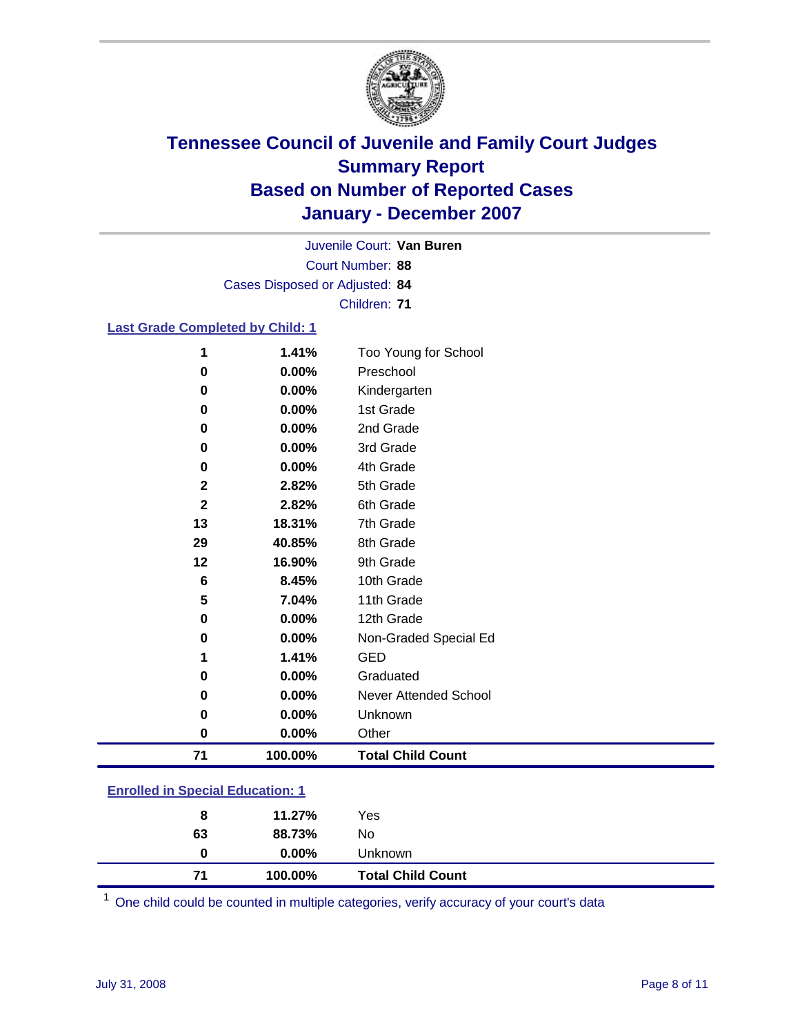

Court Number: **88** Juvenile Court: **Van Buren** Cases Disposed or Adjusted: **84** Children: **71**

### **Last Grade Completed by Child: 1**

| 71          | 100.00% | <b>Total Child Count</b> |
|-------------|---------|--------------------------|
| 0           | 0.00%   | Other                    |
| 0           | 0.00%   | Unknown                  |
| 0           | 0.00%   | Never Attended School    |
| 0           | 0.00%   | Graduated                |
| 1           | 1.41%   | <b>GED</b>               |
| 0           | 0.00%   | Non-Graded Special Ed    |
| 0           | 0.00%   | 12th Grade               |
| 5           | 7.04%   | 11th Grade               |
| 6           | 8.45%   | 10th Grade               |
| 12          | 16.90%  | 9th Grade                |
| 29          | 40.85%  | 8th Grade                |
| 13          | 18.31%  | 7th Grade                |
| $\mathbf 2$ | 2.82%   | 6th Grade                |
| $\mathbf 2$ | 2.82%   | 5th Grade                |
| 0           | 0.00%   | 4th Grade                |
| 0           | 0.00%   | 3rd Grade                |
| 0           | 0.00%   | 2nd Grade                |
| $\mathbf 0$ | 0.00%   | 1st Grade                |
| $\bf{0}$    | 0.00%   | Kindergarten             |
| 0           | 0.00%   | Preschool                |
| 1           | 1.41%   | Too Young for School     |

### **Enrolled in Special Education: 1**

| $0.00\%$<br><b>Unknown</b><br>0 |                          |
|---------------------------------|--------------------------|
| 100.00%<br>71                   | <b>Total Child Count</b> |

<sup>1</sup> One child could be counted in multiple categories, verify accuracy of your court's data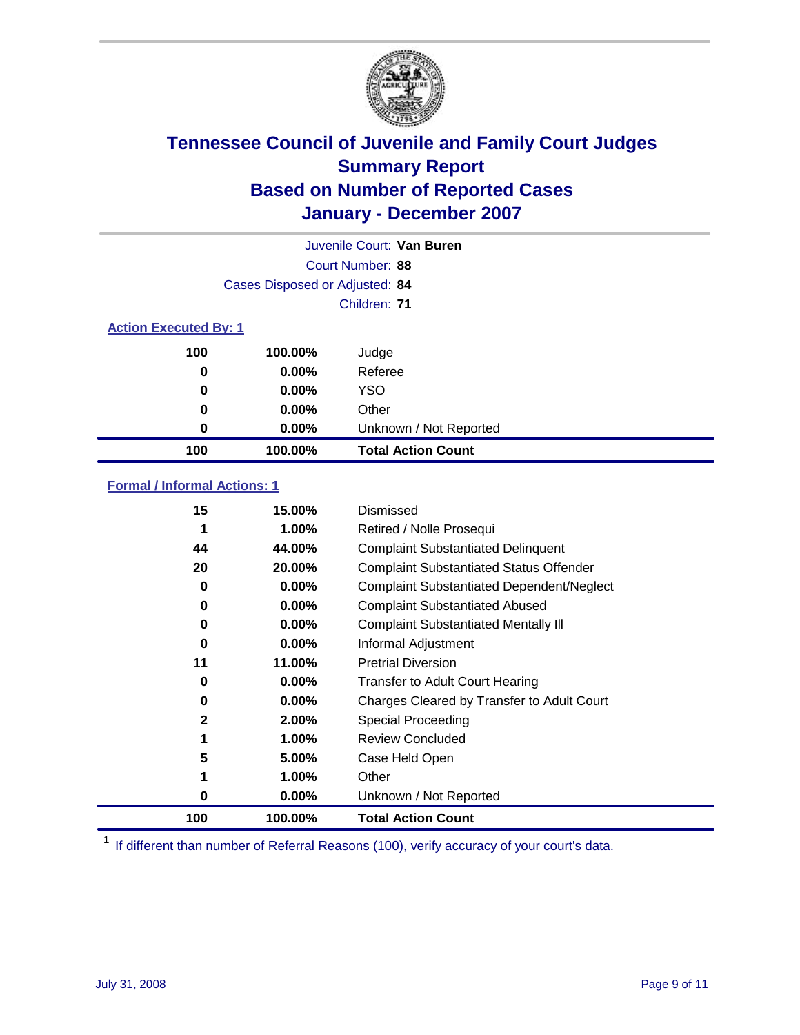

|                              |                                | Juvenile Court: Van Buren |
|------------------------------|--------------------------------|---------------------------|
|                              |                                | Court Number: 88          |
|                              | Cases Disposed or Adjusted: 84 |                           |
|                              |                                | Children: 71              |
| <b>Action Executed By: 1</b> |                                |                           |
| 100                          | 100.00%                        | Judge                     |
| 0                            | $0.00\%$                       | Referee                   |
| 0                            | $0.00\%$                       | <b>YSO</b>                |
| 0                            | $0.00\%$                       | Other                     |
| 0                            | $0.00\%$                       | Unknown / Not Reported    |
| 100                          | 100.00%                        | <b>Total Action Count</b> |

### **Formal / Informal Actions: 1**

| 15  | 15.00%   | Dismissed                                        |
|-----|----------|--------------------------------------------------|
| 1   | 1.00%    | Retired / Nolle Prosequi                         |
| 44  | 44.00%   | <b>Complaint Substantiated Delinquent</b>        |
| 20  | 20.00%   | <b>Complaint Substantiated Status Offender</b>   |
| 0   | $0.00\%$ | <b>Complaint Substantiated Dependent/Neglect</b> |
| 0   | $0.00\%$ | <b>Complaint Substantiated Abused</b>            |
| 0   | $0.00\%$ | <b>Complaint Substantiated Mentally III</b>      |
| 0   | $0.00\%$ | Informal Adjustment                              |
| 11  | 11.00%   | <b>Pretrial Diversion</b>                        |
| 0   | $0.00\%$ | <b>Transfer to Adult Court Hearing</b>           |
| 0   | $0.00\%$ | Charges Cleared by Transfer to Adult Court       |
| 2   | 2.00%    | Special Proceeding                               |
|     | 1.00%    | <b>Review Concluded</b>                          |
| 5   | 5.00%    | Case Held Open                                   |
|     | 1.00%    | Other                                            |
| 0   | $0.00\%$ | Unknown / Not Reported                           |
| 100 | 100.00%  | <b>Total Action Count</b>                        |

<sup>1</sup> If different than number of Referral Reasons (100), verify accuracy of your court's data.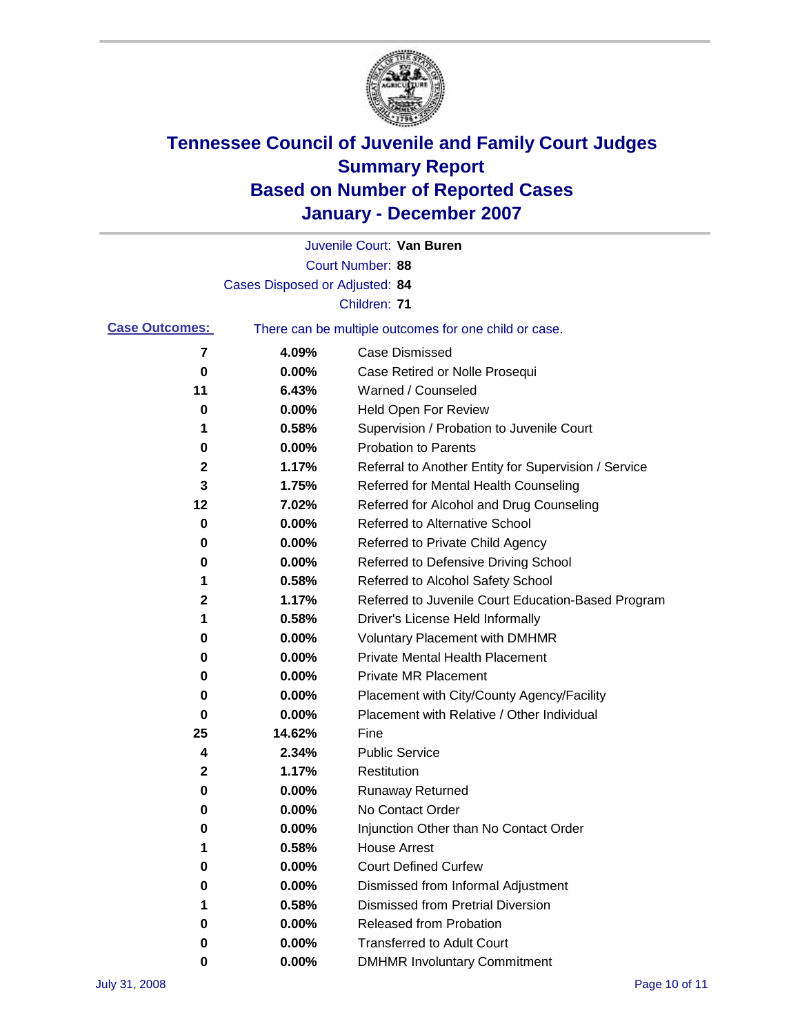

|                       |                                | Juvenile Court: Van Buren                             |
|-----------------------|--------------------------------|-------------------------------------------------------|
|                       |                                | Court Number: 88                                      |
|                       | Cases Disposed or Adjusted: 84 |                                                       |
|                       |                                | Children: 71                                          |
| <b>Case Outcomes:</b> |                                | There can be multiple outcomes for one child or case. |
| 7                     | 4.09%                          | <b>Case Dismissed</b>                                 |
| 0                     | 0.00%                          | Case Retired or Nolle Prosequi                        |
| 11                    | 6.43%                          | Warned / Counseled                                    |
| 0                     | 0.00%                          | <b>Held Open For Review</b>                           |
| 1                     | 0.58%                          | Supervision / Probation to Juvenile Court             |
| 0                     | 0.00%                          | <b>Probation to Parents</b>                           |
| 2                     | 1.17%                          | Referral to Another Entity for Supervision / Service  |
| 3                     | 1.75%                          | Referred for Mental Health Counseling                 |
| 12                    | 7.02%                          | Referred for Alcohol and Drug Counseling              |
| 0                     | 0.00%                          | <b>Referred to Alternative School</b>                 |
| 0                     | 0.00%                          | Referred to Private Child Agency                      |
| 0                     | 0.00%                          | Referred to Defensive Driving School                  |
| 1                     | 0.58%                          | Referred to Alcohol Safety School                     |
| 2                     | 1.17%                          | Referred to Juvenile Court Education-Based Program    |
| 1                     | 0.58%                          | Driver's License Held Informally                      |
| 0                     | 0.00%                          | <b>Voluntary Placement with DMHMR</b>                 |
| 0                     | 0.00%                          | <b>Private Mental Health Placement</b>                |
| 0                     | 0.00%                          | <b>Private MR Placement</b>                           |
| 0                     | 0.00%                          | Placement with City/County Agency/Facility            |
| 0                     | 0.00%                          | Placement with Relative / Other Individual            |
| 25                    | 14.62%                         | Fine                                                  |
| 4                     | 2.34%                          | <b>Public Service</b>                                 |
| 2                     | 1.17%                          | Restitution                                           |
| 0                     | 0.00%                          | <b>Runaway Returned</b>                               |
| 0                     | 0.00%                          | No Contact Order                                      |
| 0                     | 0.00%                          | Injunction Other than No Contact Order                |
|                       | 0.58%                          | <b>House Arrest</b>                                   |
| 0                     | 0.00%                          | <b>Court Defined Curfew</b>                           |
| 0                     | 0.00%                          | Dismissed from Informal Adjustment                    |
| 1                     | 0.58%                          | <b>Dismissed from Pretrial Diversion</b>              |
| 0                     | 0.00%                          | Released from Probation                               |
| 0                     | 0.00%                          | <b>Transferred to Adult Court</b>                     |
| 0                     | 0.00%                          | <b>DMHMR Involuntary Commitment</b>                   |